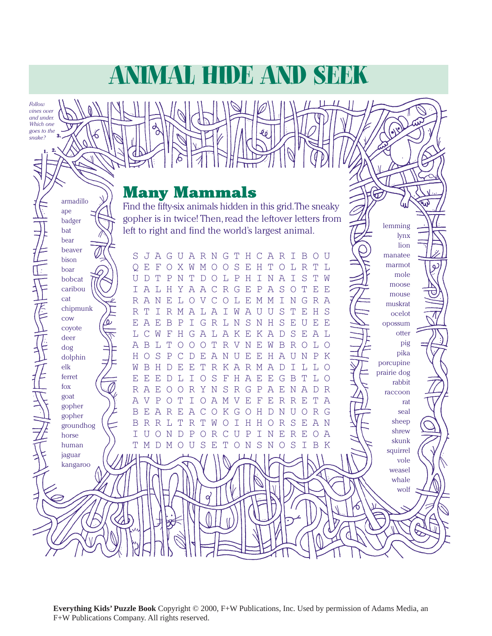# Animal Hide And Seek

*Follow vines over and under. Which one goes to the* 

*snake?* 

1. 2.

armadillo ape badger bat bear beaver

### Many Mammals

Find the fifty-six animals hidden in this grid. The sneaky gopher is in twice! Then, read the leftover letters from left to right and find the world's largest animal.

lemming lynx lion

 $\bigoplus$ 

S JAGUARNGT H C A  $R$ T  $\mathbf B$  $\circ$  U manatee bison marmot S  $\mathbf T$  $\overline{O}$  $E$  $\mathbb F$  $\circ$  $X$  $\mathbf W$  $\mathbf{M}$  $\circ$  $\circ$  $E$  $H$  $\circ$ L  $R$ T ٦. ره boar mole U D T  $\mathbf P$ T  $\mathbb L$  $\, {\bf P}$  $H$  $\mathbb T$  $\mathbb N$  $\mathbb{D}$  $\bigcirc$ Ι  $\mathbb N$  $\mathcal{A}$ Ι  $\mathbf S$ W bobcat moose caribou  $\top$  $\mathbb{A}$ L  $H$ Υ  $\overline{A}$  $\mathbb{A}$  $\mathcal C$  $R$ G  $E$  $\mathbf P$  $\overline{A}$ S  $\circ$ T  $E$  $\mathbb{F}$ mouse cat  $R$  $\mathbb{A}$  $\mathbb N$  $_{\rm E}$ L  $\circ$ V  $\mathcal{C}$  $\circ$  $\mathbb L$  $\mathbf E$  $\mathbb M$  $\mathbf M$  $\mathbb T$  $\mathbb N$ G  $\mathbb R$  $\mathbb{A}$ -<br>|<br>|<br>| muskrat chipmunk S  $\mathbb T$  $\mathbb I$  $\overline{\mathsf{W}}$  $\mathbb{A}$  $\mathbf{E}% _{0}$ R  $\mathbb R$  $\mathbb M$  $\mathbb{A}$ L A Ι U U т Η  $S$ ocelot cow  $\mathbf{E}% _{0}$  $\overline{A}$  $\mathbf E$  $\overline{B}$  $\mathbf P$  $\mathbbm{I}$ G  $R$ L  $\mathbb N$ S  $\mathbf N$  $H$ S  $\mathbf E$ U E  $\mathbf{E}% _{0}$ opossum coyote  $\overline{C}$  $\mathbb{A}$  $\boldsymbol{\mathrm{K}}$  $\overline{A}$  $S$ A L L W F  $H$ G L  $\mathbb{A}$ Ε  $K_{\rm R}$  $\mathbb{D}$ E otter deer pig  $\overline{B}$ L  $\mathbf T$  $\mathbb T$ V W  $\mathbf B$  $\mathbb{R}$ L  $\mathcal{A}$  $\circ$  $\circ$  $\circ$  $\mathbb R$  $\mathbf N$ Ε  $\bigcirc$  $\circ$ dog pika S dolphin H  $\circ$  $\mathbf P$  $\mathcal{C}$  $\mathbb D$ Ε A N U Ε Ε Η A U Ν  $\mathbf P$ K porcupine W  $\overline{B}$  $\mathbb{H}$  $\mathbf E$ T  $\mathbb R$  $\mathbb{A}$  $R$  $\mathcal{A}$ elk  $\mathbb D$ Ε K  $\mathbf M$  $\mathbb D$ Ι L L  $\bigcirc$ prairie dog ferret Ε  $E$  $\mathbf E$  $\mathbb{D}$ T.  $\mathbf I$  $\circ$ S  $\mathbf{F}$  $H$  $\mathbb{A}$ Ε  $E$ G  $\mathbf B$ T L  $\circ$ rabbit fox  $\mathbb{R}$  $\mathbb A$  $\mathbf E$  $R$  $\overline{A}$  $\mathbf E$  $\circ$  $\mathbb R$ Υ  $\mathbb N$ S G  $\mathbf P$  $\mathcal{A}$  $\mathbb D$  $\mathbb{R}$  $\circ$ Ν raccoon goat  $\mathbb{A}$  $\sqrt{ }$  $\mathbb P$  $\circ$ Т Ι  $\circ$ A  $\mathbf M$ V Ε F Ε  $\mathbb R$  $\mathbb{R}$ Е Т  $\mathbb{A}$ rat gopher  $\mathbf B$  $\mathbf{E}% _{0}$  $\mathcal{A}$  $\mathbb{R}$ Ε  $\overline{A}$  $\mathcal{C}$  $\bigcirc$ K G  $\bigcirc$  $H$  $\overline{D}$  $\mathbf N$ U  $\bigcirc$  $\mathbb R$ G seal gopher sheep  $\mathbf B$  $R$  $R$ L  $\mathbb T$  $\mathbb{R}$  $\mathbf T$ W  $\mathbbm{I}$  $H$  $\mathbb R$  $\mathbf S$  $\mathbf{E}% _{t}=\mathbf{E}_{t}$  $\mathbb{A}$  $\circ$ Η  $\circ$  $\mathbb N$ groundhog shrew  $\mathbb T$  $\mathbf U$  $\circ$  $\mathbb N$  $\mathbb D$  $\mathbf P$  $\bigcirc$  $\mathbb R$  $\mathbf U$  $\mathbf P$ Ι  $\mathbb N$  $E$  $\mathbb{R}$ Ε  $\bigcirc$ A  $\mathsf C$ horse skunk human  $\mathbf T$  $\mathbf M$ D  $M$  $\mathbf U$ S E  $\mathbf T$  $\bigcirc$ N S N  $\circ$ S  $\mathbb{T}$  $\mathbf B$  $\mathbb K$  $\bigcap$ squirrel jaguar vole kangaroo weasel whale wolf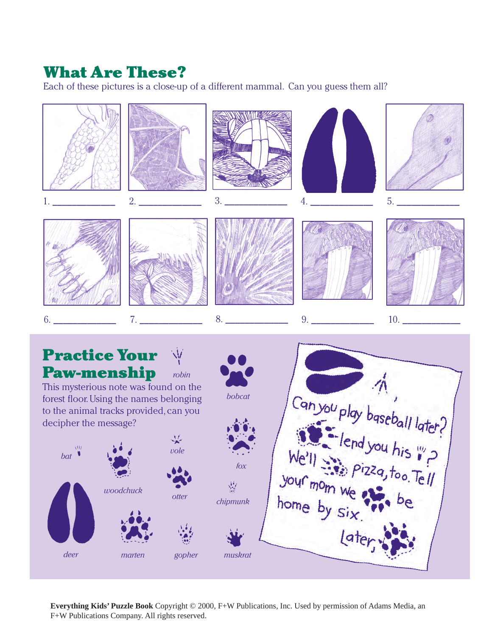## What Are These?

Each of these pictures is a close-up of a different mammal. Can you guess them all?



**Everything Kids' Puzzle Book** Copyright © 2000, F+W Publications, Inc. Used by permission of Adams Media, an F+W Publications Company. All rights reserved.